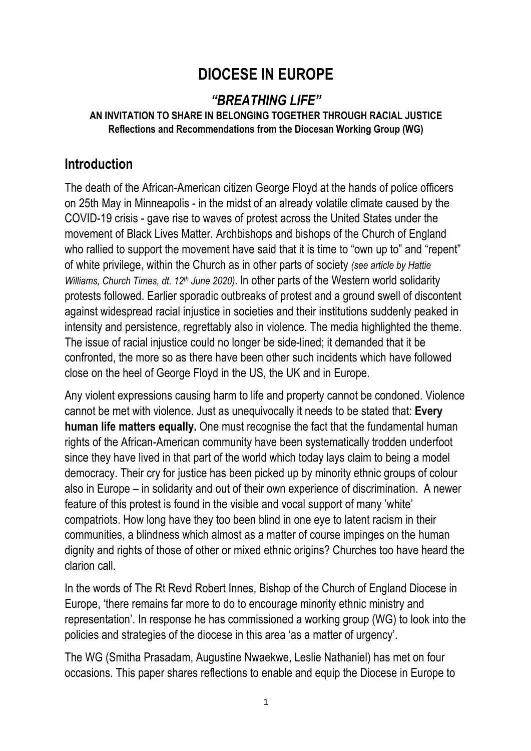# **DIOCESE IN EUROPE**

# *"BREATHING LIFE"*

#### **AN INVITATION TO SHARE IN BELONGING TOGETHER THROUGH RACIAL JUSTICE Reflections and Recommendations from the Diocesan Working Group (WG)**

#### **Introduction**

The death of the African-American citizen George Floyd at the hands of police officers on 25th May in Minneapolis - in the midst of an already volatile climate caused by the COVID-19 crisis - gave rise to waves of protest across the United States under the movement of Black Lives Matter. Archbishops and bishops of the Church of England who rallied to support the movement have said that it is time to "own up to" and "repent" of white privilege, within the Church as in other parts of society *(see article by Hattie Williams, Church Times, dt. 12th June 2020)*. In other parts of the Western world solidarity protests followed. Earlier sporadic outbreaks of protest and a ground swell of discontent against widespread racial injustice in societies and their institutions suddenly peaked in intensity and persistence, regrettably also in violence. The media highlighted the theme. The issue of racial injustice could no longer be side-lined; it demanded that it be confronted, the more so as there have been other such incidents which have followed close on the heel of George Floyd in the US, the UK and in Europe.

Any violent expressions causing harm to life and property cannot be condoned. Violence cannot be met with violence. Just as unequivocally it needs to be stated that: **Every human life matters equally.** One must recognise the fact that the fundamental human rights of the African-American community have been systematically trodden underfoot since they have lived in that part of the world which today lays claim to being a model democracy. Their cry for justice has been picked up by minority ethnic groups of colour also in Europe – in solidarity and out of their own experience of discrimination. A newer feature of this protest is found in the visible and vocal support of many 'white' compatriots. How long have they too been blind in one eye to latent racism in their communities, a blindness which almost as a matter of course impinges on the human dignity and rights of those of other or mixed ethnic origins? Churches too have heard the clarion call.

In the words of The Rt Revd Robert Innes, Bishop of the Church of England Diocese in Europe, 'there remains far more to do to encourage minority ethnic ministry and representation'. In response he has commissioned a working group (WG) to look into the policies and strategies of the diocese in this area 'as a matter of urgency'.

The WG (Smitha Prasadam, Augustine Nwaekwe, Leslie Nathaniel) has met on four occasions. This paper shares reflections to enable and equip the Diocese in Europe to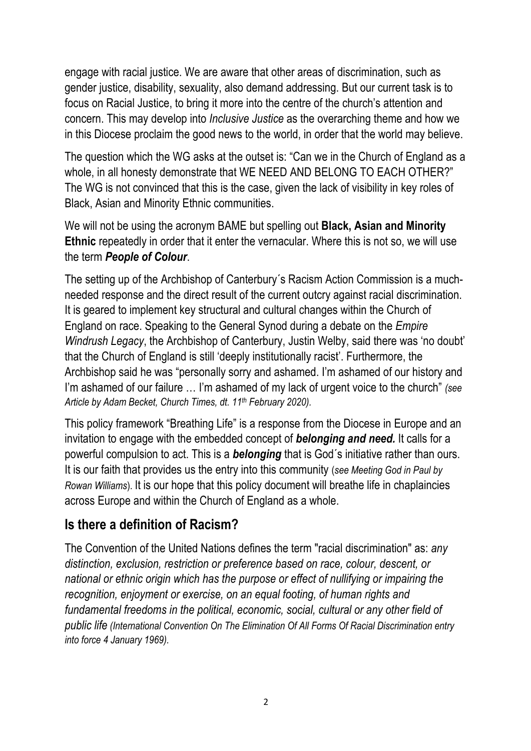engage with racial justice. We are aware that other areas of discrimination, such as gender justice, disability, sexuality, also demand addressing. But our current task is to focus on Racial Justice, to bring it more into the centre of the church's attention and concern. This may develop into *Inclusive Justice* as the overarching theme and how we in this Diocese proclaim the good news to the world, in order that the world may believe.

The question which the WG asks at the outset is: "Can we in the Church of England as a whole, in all honesty demonstrate that WE NEED AND BELONG TO EACH OTHER?" The WG is not convinced that this is the case, given the lack of visibility in key roles of Black, Asian and Minority Ethnic communities.

We will not be using the acronym BAME but spelling out **Black, Asian and Minority Ethnic** repeatedly in order that it enter the vernacular. Where this is not so, we will use the term *People of Colour*.

The setting up of the Archbishop of Canterbury´s Racism Action Commission is a muchneeded response and the direct result of the current outcry against racial discrimination. It is geared to implement key structural and cultural changes within the Church of England on race. Speaking to the General Synod during a debate on the *Empire Windrush Legacy*, the Archbishop of Canterbury, Justin Welby, said there was 'no doubt' that the Church of England is still 'deeply institutionally racist'. Furthermore, the Archbishop said he was "personally sorry and ashamed. I'm ashamed of our history and I'm ashamed of our failure … I'm ashamed of my lack of urgent voice to the church" *(see Article by Adam Becket, Church Times, dt. 11th February 2020).*

This policy framework "Breathing Life" is a response from the Diocese in Europe and an invitation to engage with the embedded concept of *belonging and need.* It calls for a powerful compulsion to act. This is a *belonging* that is God´s initiative rather than ours. It is our faith that provides us the entry into this community (*see Meeting God in Paul by Rowan Williams*). It is our hope that this policy document will breathe life in chaplaincies across Europe and within the Church of England as a whole.

#### **Is there a definition of Racism?**

The Convention of the United Nations defines the term "racial discrimination" as: *any distinction, exclusion, restriction or preference based on race, colour, descent, or national or ethnic origin which has the purpose or effect of nullifying or impairing the recognition, enjoyment or exercise, on an equal footing, of human rights and fundamental freedoms in the political, economic, social, cultural or any other field of public life (International Convention On The Elimination Of All Forms Of Racial Discrimination entry into force 4 January 1969).*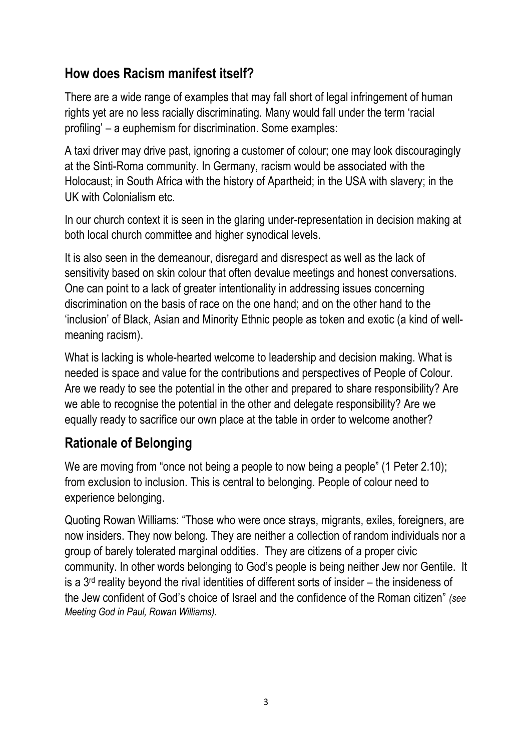# **How does Racism manifest itself?**

There are a wide range of examples that may fall short of legal infringement of human rights yet are no less racially discriminating. Many would fall under the term 'racial profiling' – a euphemism for discrimination. Some examples:

A taxi driver may drive past, ignoring a customer of colour; one may look discouragingly at the Sinti-Roma community. In Germany, racism would be associated with the Holocaust; in South Africa with the history of Apartheid; in the USA with slavery; in the UK with Colonialism etc.

In our church context it is seen in the glaring under-representation in decision making at both local church committee and higher synodical levels.

It is also seen in the demeanour, disregard and disrespect as well as the lack of sensitivity based on skin colour that often devalue meetings and honest conversations. One can point to a lack of greater intentionality in addressing issues concerning discrimination on the basis of race on the one hand; and on the other hand to the 'inclusion' of Black, Asian and Minority Ethnic people as token and exotic (a kind of wellmeaning racism).

What is lacking is whole-hearted welcome to leadership and decision making. What is needed is space and value for the contributions and perspectives of People of Colour. Are we ready to see the potential in the other and prepared to share responsibility? Are we able to recognise the potential in the other and delegate responsibility? Are we equally ready to sacrifice our own place at the table in order to welcome another?

# **Rationale of Belonging**

We are moving from "once not being a people to now being a people" (1 Peter 2.10); from exclusion to inclusion. This is central to belonging. People of colour need to experience belonging.

Quoting Rowan Williams: "Those who were once strays, migrants, exiles, foreigners, are now insiders. They now belong. They are neither a collection of random individuals nor a group of barely tolerated marginal oddities. They are citizens of a proper civic community. In other words belonging to God's people is being neither Jew nor Gentile. It is a  $3<sup>rd</sup>$  reality beyond the rival identities of different sorts of insider – the insideness of the Jew confident of God's choice of Israel and the confidence of the Roman citizen" *(see Meeting God in Paul, Rowan Williams).*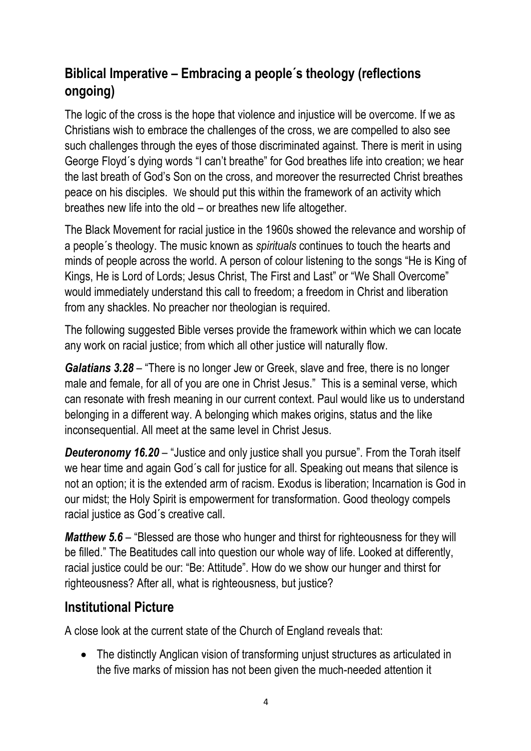# **Biblical Imperative – Embracing a people´s theology (reflections ongoing)**

The logic of the cross is the hope that violence and injustice will be overcome. If we as Christians wish to embrace the challenges of the cross, we are compelled to also see such challenges through the eyes of those discriminated against. There is merit in using George Floyd´s dying words "I can't breathe" for God breathes life into creation; we hear the last breath of God's Son on the cross, and moreover the resurrected Christ breathes peace on his disciples. We should put this within the framework of an activity which breathes new life into the old – or breathes new life altogether.

The Black Movement for racial justice in the 1960s showed the relevance and worship of a people´s theology. The music known as *spirituals* continues to touch the hearts and minds of people across the world. A person of colour listening to the songs "He is King of Kings, He is Lord of Lords; Jesus Christ, The First and Last" or "We Shall Overcome" would immediately understand this call to freedom; a freedom in Christ and liberation from any shackles. No preacher nor theologian is required.

The following suggested Bible verses provide the framework within which we can locate any work on racial justice; from which all other justice will naturally flow.

*Galatians 3.28* – "There is no longer Jew or Greek, slave and free, there is no longer male and female, for all of you are one in Christ Jesus." This is a seminal verse, which can resonate with fresh meaning in our current context. Paul would like us to understand belonging in a different way. A belonging which makes origins, status and the like inconsequential. All meet at the same level in Christ Jesus.

*Deuteronomy 16.20* – "Justice and only justice shall you pursue". From the Torah itself we hear time and again God´s call for justice for all. Speaking out means that silence is not an option; it is the extended arm of racism. Exodus is liberation; Incarnation is God in our midst; the Holy Spirit is empowerment for transformation. Good theology compels racial justice as God´s creative call.

*Matthew 5.6* – "Blessed are those who hunger and thirst for righteousness for they will be filled." The Beatitudes call into question our whole way of life. Looked at differently, racial justice could be our: "Be: Attitude". How do we show our hunger and thirst for righteousness? After all, what is righteousness, but justice?

# **Institutional Picture**

A close look at the current state of the Church of England reveals that:

• The distinctly Anglican vision of transforming unjust structures as articulated in the five marks of mission has not been given the much-needed attention it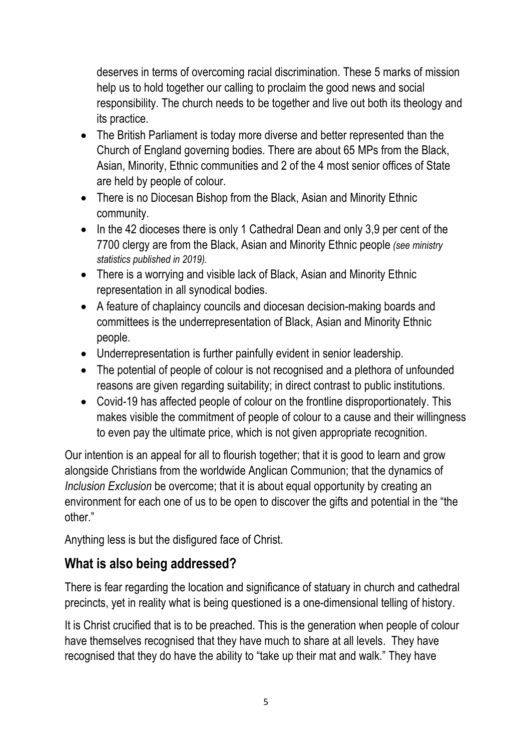deserves in terms of overcoming racial discrimination. These 5 marks of mission help us to hold together our calling to proclaim the good news and social responsibility. The church needs to be together and live out both its theology and its practice.

- The British Parliament is today more diverse and better represented than the Church of England governing bodies. There are about 65 MPs from the Black, Asian, Minority, Ethnic communities and 2 of the 4 most senior offices of State are held by people of colour.
- There is no Diocesan Bishop from the Black, Asian and Minority Ethnic community.
- In the 42 dioceses there is only 1 Cathedral Dean and only 3.9 per cent of the 7700 clergy are from the Black, Asian and Minority Ethnic people *(see ministry statistics published in 2019).*
- There is a worrying and visible lack of Black, Asian and Minority Ethnic representation in all synodical bodies.
- A feature of chaplaincy councils and diocesan decision-making boards and committees is the underrepresentation of Black, Asian and Minority Ethnic people.
- Underrepresentation is further painfully evident in senior leadership.
- The potential of people of colour is not recognised and a plethora of unfounded reasons are given regarding suitability; in direct contrast to public institutions.
- Covid-19 has affected people of colour on the frontline disproportionately. This makes visible the commitment of people of colour to a cause and their willingness to even pay the ultimate price, which is not given appropriate recognition.

Our intention is an appeal for all to flourish together; that it is good to learn and grow alongside Christians from the worldwide Anglican Communion; that the dynamics of *Inclusion Exclusion* be overcome; that it is about equal opportunity by creating an environment for each one of us to be open to discover the gifts and potential in the "the other."

Anything less is but the disfigured face of Christ.

# **What is also being addressed?**

There is fear regarding the location and significance of statuary in church and cathedral precincts, yet in reality what is being questioned is a one-dimensional telling of history.

It is Christ crucified that is to be preached. This is the generation when people of colour have themselves recognised that they have much to share at all levels. They have recognised that they do have the ability to "take up their mat and walk." They have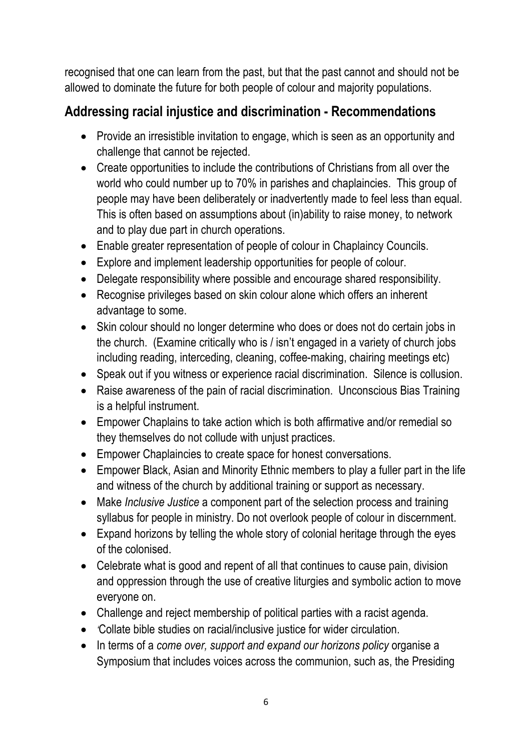recognised that one can learn from the past, but that the past cannot and should not be allowed to dominate the future for both people of colour and majority populations.

# **Addressing racial injustice and discrimination - Recommendations**

- Provide an irresistible invitation to engage, which is seen as an opportunity and challenge that cannot be rejected.
- Create opportunities to include the contributions of Christians from all over the world who could number up to 70% in parishes and chaplaincies. This group of people may have been deliberately or inadvertently made to feel less than equal. This is often based on assumptions about (in)ability to raise money, to network and to play due part in church operations.
- Enable greater representation of people of colour in Chaplaincy Councils.
- Explore and implement leadership opportunities for people of colour.
- Delegate responsibility where possible and encourage shared responsibility.
- Recognise privileges based on skin colour alone which offers an inherent advantage to some.
- Skin colour should no longer determine who does or does not do certain jobs in the church. (Examine critically who is / isn't engaged in a variety of church jobs including reading, interceding, cleaning, coffee-making, chairing meetings etc)
- Speak out if you witness or experience racial discrimination. Silence is collusion.
- Raise awareness of the pain of racial discrimination. Unconscious Bias Training is a helpful instrument.
- Empower Chaplains to take action which is both affirmative and/or remedial so they themselves do not collude with unjust practices.
- Empower Chaplaincies to create space for honest conversations.
- Empower Black, Asian and Minority Ethnic members to play a fuller part in the life and witness of the church by additional training or support as necessary.
- Make *Inclusive Justice* a component part of the selection process and training syllabus for people in ministry. Do not overlook people of colour in discernment.
- Expand horizons by telling the whole story of colonial heritage through the eyes of the colonised.
- Celebrate what is good and repent of all that continues to cause pain, division and oppression through the use of creative liturgies and symbolic action to move everyone on.
- Challenge and reject membership of political parties with a racist agenda.
- *'*Collate bible studies on racial/inclusive justice for wider circulation.
- In terms of a *come over, support and expand our horizons policy* organise a Symposium that includes voices across the communion, such as, the Presiding